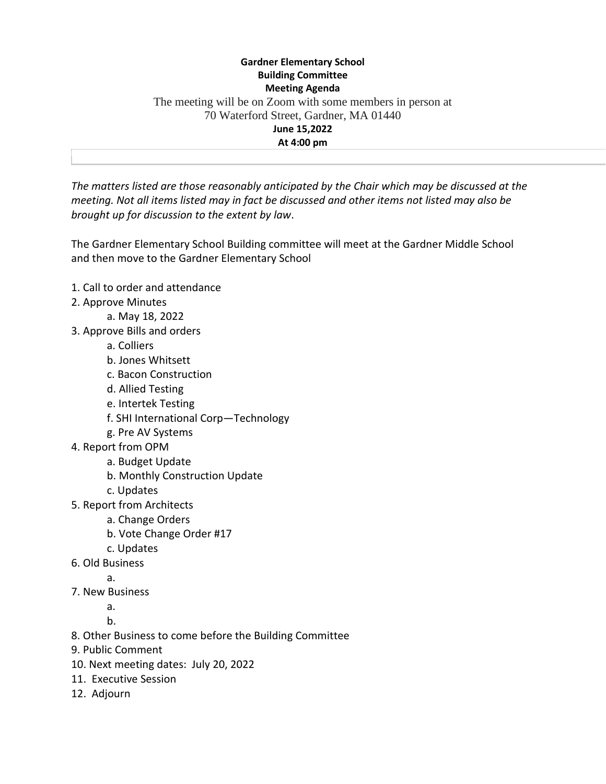## **Gardner Elementary School Building Committee Meeting Agenda** The meeting will be on Zoom with some members in person at 70 Waterford Street, Gardner, MA 01440 **June 15,2022 At 4:00 pm**

*The matters listed are those reasonably anticipated by the Chair which may be discussed at the meeting. Not all items listed may in fact be discussed and other items not listed may also be brought up for discussion to the extent by law*.

The Gardner Elementary School Building committee will meet at the Gardner Middle School and then move to the Gardner Elementary School

- 1. Call to order and attendance
- 2. Approve Minutes
	- a. May 18, 2022
- 3. Approve Bills and orders
	- a. Colliers
	- b. Jones Whitsett
	- c. Bacon Construction
	- d. Allied Testing
	- e. Intertek Testing
	- f. SHI International Corp—Technology
	- g. Pre AV Systems
- 4. Report from OPM
	- a. Budget Update
	- b. Monthly Construction Update
	- c. Updates
- 5. Report from Architects
	- a. Change Orders
		- b. Vote Change Order #17
		- c. Updates
- 6. Old Business
	- a.
- 7. New Business
	- a.

b.

- 8. Other Business to come before the Building Committee
- 9. Public Comment
- 10. Next meeting dates: July 20, 2022
- 11. Executive Session
- 12. Adjourn